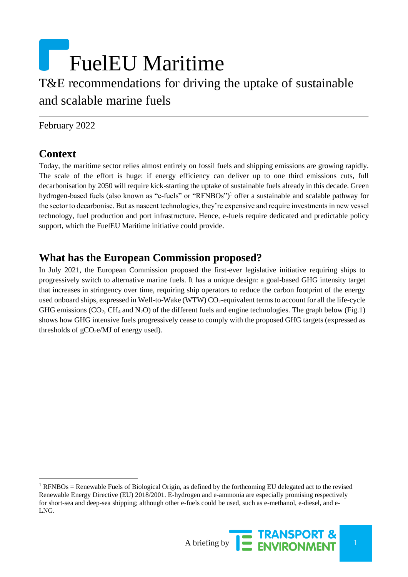# FuelEU Maritime T&E recommendations for driving the uptake of sustainable and scalable marine fuels

February 2022

## **Context**

l

Today, the maritime sector relies almost entirely on fossil fuels and shipping emissions are growing rapidly. The scale of the effort is huge: if energy efficiency can deliver up to one third emissions cuts, full decarbonisation by 2050 will require kick-starting the uptake of sustainable fuels already in this decade. Green hydrogen-based fuels (also known as "e-fuels" or "RFNBOs")<sup>1</sup> offer a sustainable and scalable pathway for the sector to decarbonise. But as nascent technologies, they're expensive and require investments in new vessel technology, fuel production and port infrastructure. Hence, e-fuels require dedicated and predictable policy support, which the FuelEU Maritime initiative could provide.

### **What has the European Commission proposed?**

In July 2021, the European Commission proposed the first-ever legislative initiative requiring ships to progressively switch to alternative marine fuels. It has a unique design: a goal-based GHG intensity target that increases in stringency over time, requiring ship operators to reduce the carbon footprint of the energy used onboard ships, expressed in Well-to-Wake (WTW) CO<sub>2</sub>-equivalent terms to account for all the life-cycle GHG emissions (CO<sub>2</sub>, CH<sub>4</sub> and N<sub>2</sub>O) of the different fuels and engine technologies. The graph below (Fig.1) shows how GHG intensive fuels progressively cease to comply with the proposed GHG targets (expressed as thresholds of  $gCO<sub>2</sub>e/MJ$  of energy used).

<sup>&</sup>lt;sup>1</sup> RFNBOs = Renewable Fuels of Biological Origin, as defined by the forthcoming EU delegated act to the revised Renewable Energy Directive (EU) 2018/2001. E-hydrogen and e-ammonia are especially promising respectively for short-sea and deep-sea shipping; although other e-fuels could be used, such as e-methanol, e-diesel, and e-LNG.

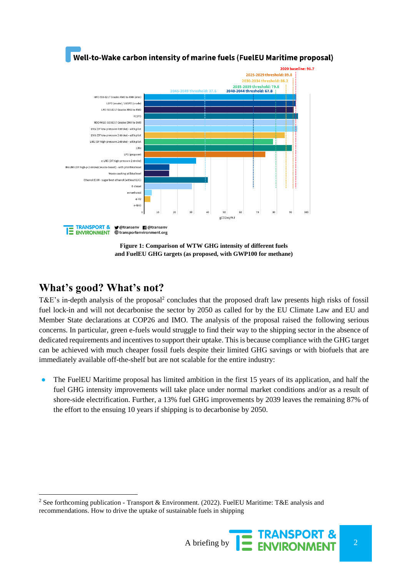

**Figure 1: Comparison of WTW GHG intensity of different fuels and FuelEU GHG targets (as proposed, with GWP100 for methane)**

### **What's good? What's not?**

l

T&E's in-depth analysis of the proposal<sup>2</sup> concludes that the proposed draft law presents high risks of fossil fuel lock-in and will not decarbonise the sector by 2050 as called for by the EU Climate Law and EU and Member State declarations at COP26 and IMO. The analysis of the proposal raised the following serious concerns. In particular, green e-fuels would struggle to find their way to the shipping sector in the absence of dedicated requirements and incentives to support their uptake. This is because compliance with the GHG target can be achieved with much cheaper fossil fuels despite their limited GHG savings or with biofuels that are immediately available off-the-shelf but are not scalable for the entire industry:

• The FuelEU Maritime proposal has limited ambition in the first 15 years of its application, and half the fuel GHG intensity improvements will take place under normal market conditions and/or as a result of shore-side electrification. Further, a 13% fuel GHG improvements by 2039 leaves the remaining 87% of the effort to the ensuing 10 years if shipping is to decarbonise by 2050.

<sup>2</sup> See forthcoming publication - Transport & Environment. (2022). FuelEU Maritime: T&E analysis and recommendations. How to drive the uptake of sustainable fuels in shipping

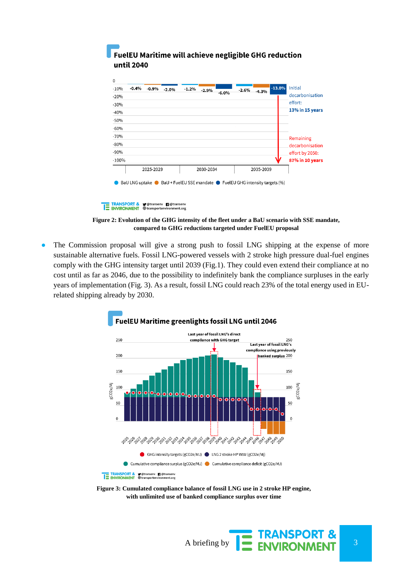| $-10%$  | $-0.4%$<br>$-0.9%$ | $-2.0%$ | $-1.2%$<br>$-2.9%$                                                                           |          | $-2.6%$ | $-4.3%$   | $-13.0%$ | <b>Initial</b>  |
|---------|--------------------|---------|----------------------------------------------------------------------------------------------|----------|---------|-----------|----------|-----------------|
| $-20%$  |                    |         |                                                                                              | $-6.0\%$ |         |           |          | decarbonisation |
| $-30%$  |                    |         |                                                                                              |          |         |           |          | effort:         |
| $-40%$  |                    |         |                                                                                              |          |         |           |          | 13% in 15 years |
| $-50%$  |                    |         |                                                                                              |          |         |           |          |                 |
| $-60%$  |                    |         |                                                                                              |          |         |           |          |                 |
| $-70%$  |                    |         |                                                                                              |          |         |           |          | Remaining       |
| $-80%$  |                    |         |                                                                                              |          |         |           |          | decarbonisation |
| $-90%$  |                    |         |                                                                                              |          |         |           |          | effort by 2050: |
| $-100%$ |                    |         |                                                                                              |          |         |           |          | 87% in 10 years |
|         | 2025-2029          |         | 2030-2034                                                                                    |          |         | 2035-2039 |          |                 |
|         |                    |         | BaU LNG uptake $\bullet$ BaU + FuelEU SSE mandate $\bullet$ FuelEU GHG intensity targets (%) |          |         |           |          |                 |
|         |                    |         |                                                                                              |          |         |           |          |                 |

### FuelEU Maritime will achieve negligible GHG reduction until 2040

TRANSPORT & **y** @transenv **n** @transenv<br>E ENVIRONMENT **@transportenvironment.org** 

**Figure 2: Evolution of the GHG intensity of the fleet under a BaU scenario with SSE mandate, compared to GHG reductions targeted under FuelEU proposal**

• The Commission proposal will give a strong push to fossil LNG shipping at the expense of more sustainable alternative fuels. Fossil LNG-powered vessels with 2 stroke high pressure dual-fuel engines comply with the GHG intensity target until 2039 (Fig.1). They could even extend their compliance at no cost until as far as 2046, due to the possibility to indefinitely bank the compliance surpluses in the early years of implementation (Fig. 3). As a result, fossil LNG could reach 23% of the total energy used in EUrelated shipping already by 2030.



**Figure 3: Cumulated compliance balance of fossil LNG use in 2 stroke HP engine, with unlimited use of banked compliance surplus over time**

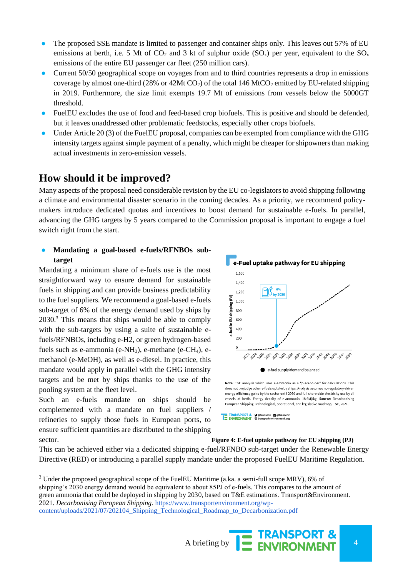- The proposed SSE mandate is limited to passenger and container ships only. This leaves out 57% of EU emissions at berth, i.e. 5 Mt of  $CO_2$  and 3 kt of sulphur oxide  $(SO_x)$  per year, equivalent to the  $SO_x$ emissions of the entire EU passenger car fleet (250 million cars).
- Current 50/50 geographical scope on voyages from and to third countries represents a drop in emissions coverage by almost one-third (28% or 42Mt  $CO<sub>2</sub>$ ) of the total 146 MtCO<sub>2</sub> emitted by EU-related shipping in 2019. Furthermore, the size limit exempts 19.7 Mt of emissions from vessels below the 5000GT threshold.
- FuelEU excludes the use of food and feed-based crop biofuels. This is positive and should be defended, but it leaves unaddressed other problematic feedstocks, especially other crops biofuels.
- Under Article 20(3) of the FuelEU proposal, companies can be exempted from compliance with the GHG intensity targets against simple payment of a penalty, which might be cheaper for shipowners than making actual investments in zero-emission vessels.

### **How should it be improved?**

Many aspects of the proposal need considerable revision by the EU co-legislators to avoid shipping following a climate and environmental disaster scenario in the coming decades. As a priority, we recommend policymakers introduce dedicated quotas and incentives to boost demand for sustainable e-fuels. In parallel, advancing the GHG targets by 5 years compared to the Commission proposal is important to engage a fuel switch right from the start.

#### ● **Mandating a goal-based e-fuels/RFNBOs subtarget**

Mandating a minimum share of e-fuels use is the most straightforward way to ensure demand for sustainable fuels in shipping and can provide business predictability to the fuel suppliers. We recommend a goal-based e-fuels sub-target of 6% of the energy demand used by ships by 2030.<sup>3</sup> This means that ships would be able to comply with the sub-targets by using a suite of sustainable efuels/RFNBOs, including e-H2, or green hydrogen-based fuels such as e-ammonia (e-NH<sub>3</sub>), e-methane (e-CH<sub>4</sub>), emethanol (e-MeOH), as well as e-diesel. In practice, this mandate would apply in parallel with the GHG intensity targets and be met by ships thanks to the use of the pooling system at the fleet level.

Such an e-fuels mandate on ships should be complemented with a mandate on fuel suppliers / refineries to supply those fuels in European ports, to ensure sufficient quantities are distributed to the shipping sector. **Figure 4: E-fuel uptake pathway for EU shipping (PJ)**

l



does not prejudge other e-fuels uptake by ships. Analysis assumes no regulatory-driven energy efficiency gains by the sector until 2050 and full shore-side electricity use by all vessels at berth. Energy density of e-ammonia: 18.6Mj/kg. Source: Decarbonising European Shipping Technological, operational, and legislative roadmap, T&E, 2021.

**TE TRANSPORT & V** @transenv **T** @transenv<br> **E** ENVIRONMENT **@transportenvironment.org** 

This can be achieved either via a dedicated shipping e-fuel/RFNBO sub-target under the Renewable Energy Directive (RED) or introducing a parallel supply mandate under the proposed FuelEU Maritime Regulation.

<sup>&</sup>lt;sup>3</sup> Under the proposed geographical scope of the FuelEU Maritime (a.ka. a semi-full scope MRV), 6% of shipping's 2030 energy demand would be equivalent to about 85PJ of e-fuels. This compares to the amount of green ammonia that could be deployed in shipping by 2030, based on T&E estimations. Transport&Environment. 2021. *Decarbonising European Shipping*[. https://www.transportenvironment.org/wp](https://www.transportenvironment.org/wp-content/uploads/2021/07/202104_Shipping_Technological_Roadmap_to_Decarbonization.pdf)[content/uploads/2021/07/202104\\_Shipping\\_Technological\\_Roadmap\\_to\\_Decarbonization.pdf](https://www.transportenvironment.org/wp-content/uploads/2021/07/202104_Shipping_Technological_Roadmap_to_Decarbonization.pdf)